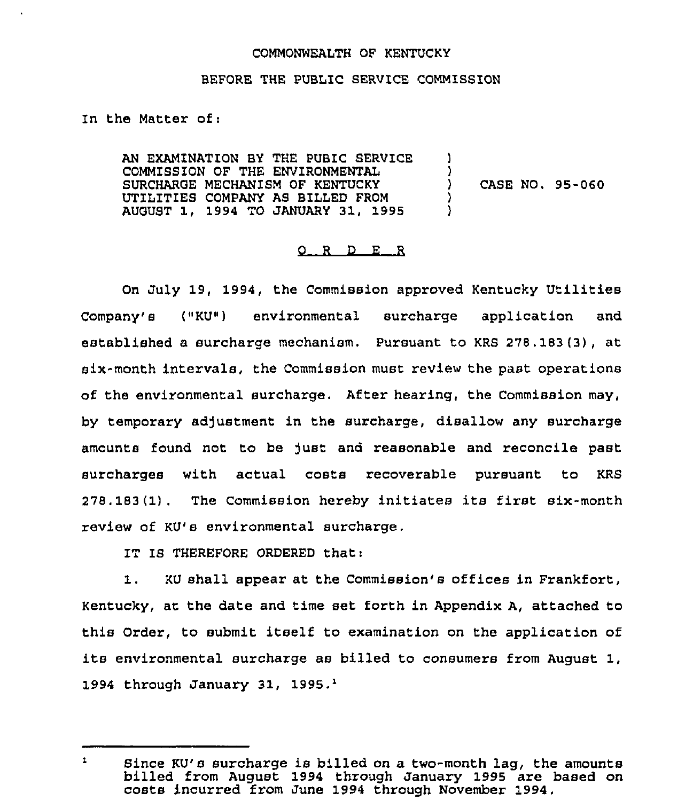#### COMMONWEALTH OF KENTUCKY

### BEFORE THE PUBLIC SERVICE COMMISSION

In the Matter of:

AN EXAMINATION BY THE PUBIC SERVICE COMMISS1ON OF THE ENVIRONMENTAL SURCHARGE MECHANISM OF KENTUCKY UTILITIES COMPANY AS BILLED FROM AUGUST 1, 1994 TO JANUARY 31, 1995 ) )<br>) ) CASE NO. 95-060 )  $\lambda$ 

## O R D E R

On July 19, 1994, the Commission approved Kentucky Utilities  $Company' \theta$  (" $KU$ ") environmental surcharge application and established a surcharge mechanism. Pursuant to KRS 278.183(3), at six-month intervals, the Commission must review the past operations of the environmental surcharge. After hearing, the Commission may, by temporary adjustment in the surcharge, disallow any surcharge amounts found not to be just and reasonable and reconcile past surcharges with actual costs recoverable pursuant to KRS 278. 183 (1) . The Commission hereby initiates its first six-month review of KU's environmental surcharge.

IT IS THEREFORE ORDERED that:

1. KU shall appear at the Commission's offices in Frankfort, Kentucky, at the date and time set forth in Appendix A, attached to this Order, to submit itself to examination on the application of its environmental surcharge as billed to consumers from August 1, 1994 through January 31, 1995. $<sup>1</sup>$ </sup>

 $\mathbf{1}$ Since KU's surcharge is billed on a two-month lag, the amounts billed from August 1994 through January 1995 are based on costs incurred from June 1994 through November 1994.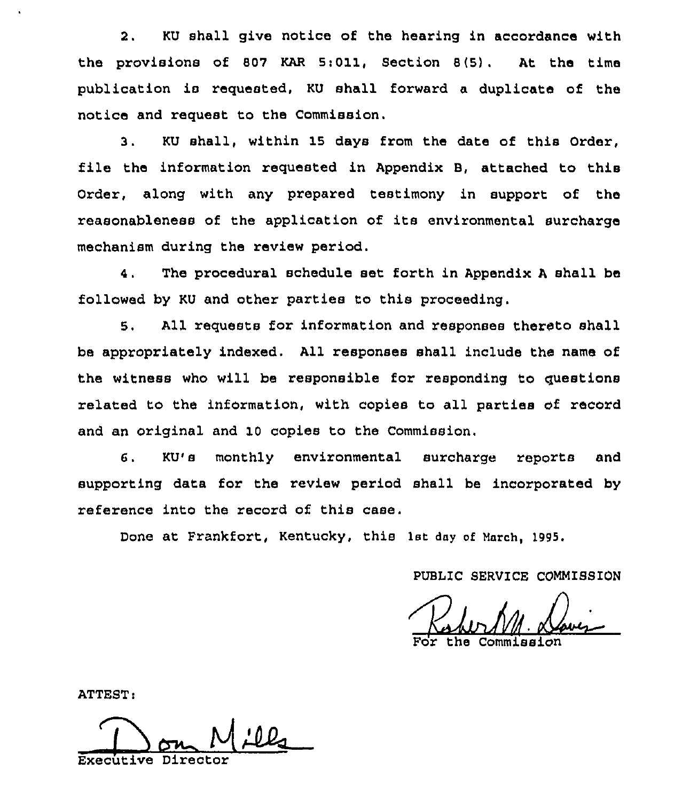2. KU shall give notice of the hearing in accordance with the provisions of 807 KAR 5:011, Section 8(5). At the time publication is requested, KU shall forward a duplicate of the notice and request to the Commission.

3. KU shall, within 15 days from the date of this Order, file the information requested in Appendix B, attached to this Order, along with any prepared testimony in support of the reasonableness of the application of its environmental surcharge mechanism during the review period.

4. The procedural schedule set forth in Appendix <sup>A</sup> shall be followed by KU and other partiee to this proceeding.

5. All requests for information and responses thereto shall be appropriately indexed, All responses shall include the name of the witness who will be responsible for responding to questions related to the information, with copies to all parties of record and an original and 10 copies to the Commission.

6. KU's monthly environmental surcharge reports and supporting data for the review period shall be incorporated by reference into the record of this case.

Done at Frankfort, Kentucky, this 1st day of March, 1995.

PUBLIC SERVICE COMMISSION

the

ATTEST

Don Mil

Executive Director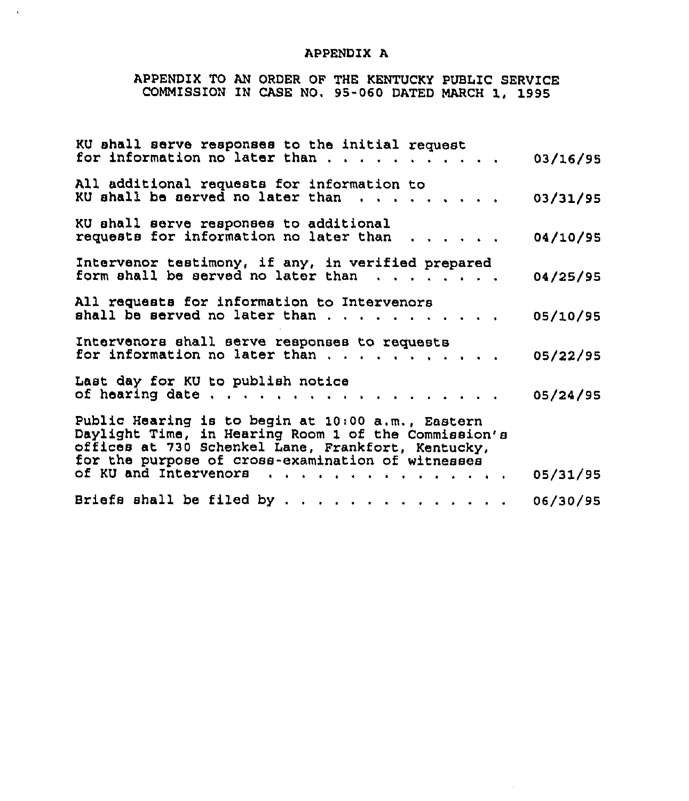# APPENDIX A

 $\sim$ 

# APPENDIX TO AN ORDER OF THE KENTUCKY PUBLIC SERVICE COMMISSION IN CASE NO. 95-060 DATED MARCH 1, 1995

| KU shall serve responses to the initial request                                                                                                                                                                                                     | 03/16/95 |
|-----------------------------------------------------------------------------------------------------------------------------------------------------------------------------------------------------------------------------------------------------|----------|
| All additional requests for information to<br>KU shall be served no later than<br>.                                                                                                                                                                 | 03/31/95 |
| KU shall serve responses to additional<br>requests for information no later than                                                                                                                                                                    | 04/10/95 |
| Intervenor testimony, if any, in verified prepared<br>form shall be served no later than<br>$\begin{array}{cccccccccccccc} \bullet & \bullet & \bullet & \bullet & \bullet & \bullet & \bullet & \bullet & \bullet & \bullet & \bullet \end{array}$ | 04/25/95 |
| All requests for information to Intervenors                                                                                                                                                                                                         | 05/10/95 |
| Intervenors shall serve responses to requests<br>for information no later than $\ldots$ , , , , , , , ,                                                                                                                                             | 05/22/95 |
| Last day for KU to publish notice<br>of hearing date                                                                                                                                                                                                | 05/24/95 |
| Public Hearing is to begin at 10:00 a.m., Eastern<br>Daylight Time, in Hearing Room 1 of the Commission's<br>offices at 730 Schenkel Lane, Frankfort, Kentucky,                                                                                     |          |
| for the purpose of cross-examination of witnesses<br>of KU and Intervenors                                                                                                                                                                          | 05/31/95 |
| Briefs shall be filed by                                                                                                                                                                                                                            | 06/30/95 |

 $\sim 10$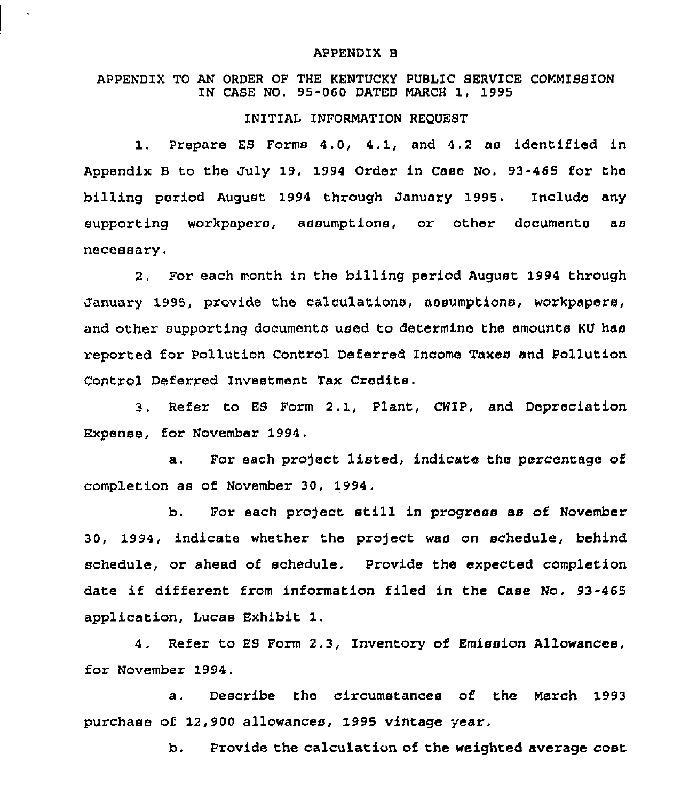#### APPENDIX B

## APPENDIX TO AN ORDER OF THE KENTUCKY PUBLIC SERVICE COMMISS10N IN CASE NO. 95-060 DATED MARCH 1, 1995

## INITIAL INFORMATION REQUEST

1. Prepare ES Forms 4.0, 4.1, and 4.2 as identified in Appendix B to the July 19, 1994 Order in Case No. 93-465 for the billing period August 1994 through January 1995. Include any supporting workpapers, assumptions, or other documents as necessary.

2. For each month in the billing period August 1994 through January 1995, provide the calculations, assumptions, workpapers, and other supporting documents used to determine the amounts KV has reported for Pollution Control Deferred income Taxes and Pollution Control Deferred Investment Tax Credits.

3. Refer to ES Form 2. 1, Plant, CHIP, and Depreciation Expense, for November 1994.

a. For each project listed, indicate the percentage of completion as of November 30, 1994.

b. For each project still in progress as of November 30, 1994, indicate whether the project was on schedule, behind schedule, or ahead of schedule. Provide the expected completion date if different from information filed in the Case No. 93-465 application, Lucas Exhibit 1,

4. Refer to ES Form 2.3, Inventory of Emission Allowances, for November 1994.

a. Describe the circumstances of the March 1993 purchase of 12,900 allowances, 1995 vintage year.

b. Provide the calculation of the weighted average cost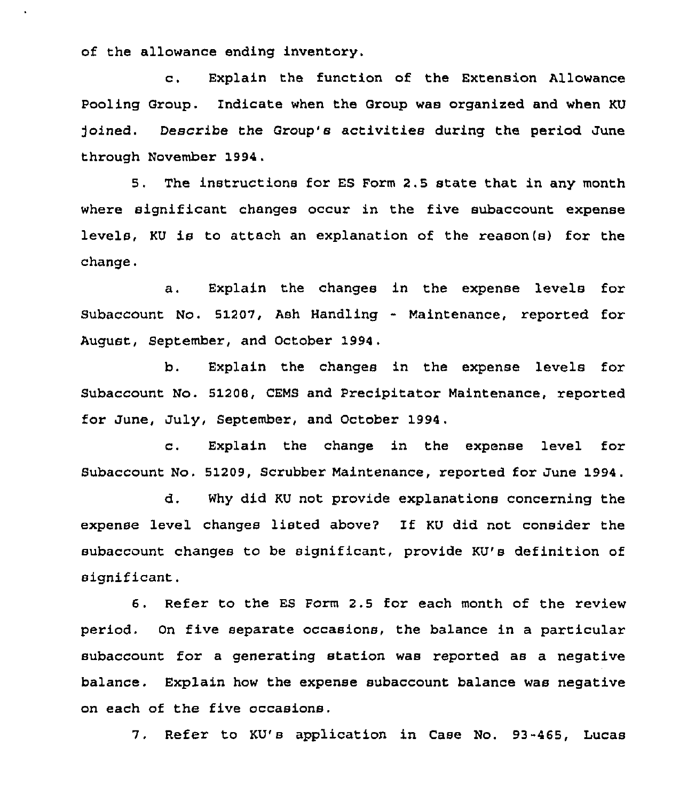of the allowance ending inventory.

c. Explain the function of the Extension Allowance Pooling Group. Indicate when the Group was organized and when KU )oined. Describe the Group's activities during the period June through November 1994,

5. The instructions for ES Form 2.5 state that in any month where significant changes occur in the five subaccount expense levels, KU is to attach an explanation of the reason(s) for the change.

a. Explain the changes in the expense levels for Subaccount No. 51207, Ash Handling - Maintenance, reported for August, September, and October 1994,

b. Explain the changes in the expense levels for Subaccount No. 51209, CEMS and Precipitator Maintenance, reported for June, July, September, and October 1994.

c. Explain the change in the expense level for Subaccount No. 51209, Scrubber Maintenance, reported for June 1994.

d. Why did KU not provide explanations concerning the expense level changes listed above'? If KU did not consider the subaccount changes to be significant, provide KU's definition of significant.

6. Refer to the ES Form 2.5 for each month of the review period. On five separate occasions, the balance in a particular subaccount for a generating station was reported as a negative balance. Explain how the expense subaccount balance was negative on each of the five occasions.

7. Refer to KU's application in Case No. 93-465, Lucas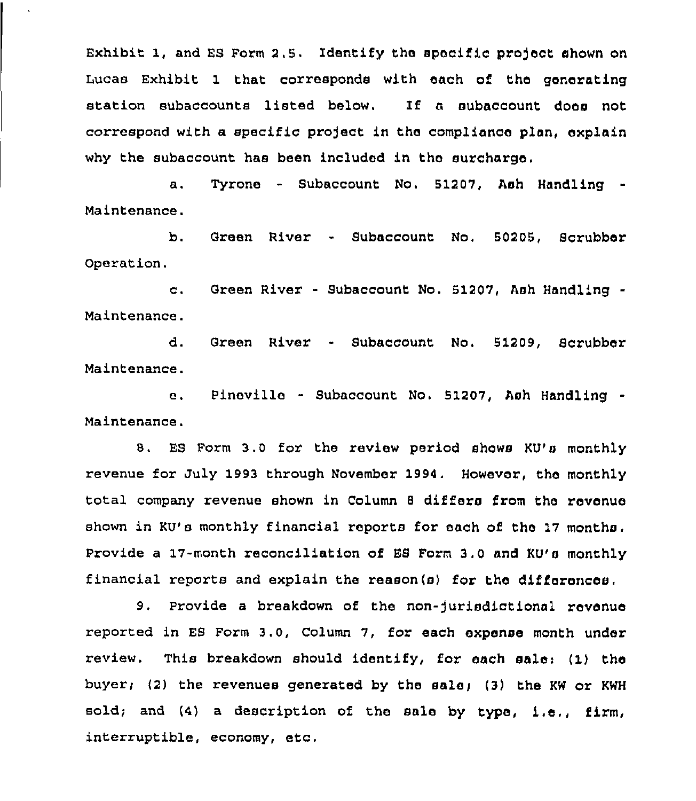Exhibit 1, and ES Form 2.5. Identify the specific project shown on Lucas Exhibit 1 that corresponds with each of the generating station subaccounts listed below. If a subaccount does not correspond with a specific project in the compliance plan, explain why the subaccount has been included in the surcharge.

Tyrone - Subaccount No. 51207, Ash Handling  $a.$ Maintenance.

b. Green River - Subaccount No. 50205, Scrubber Operation.

c. Green River - Subaccount No, 51207, Ash Handling Maintenance.

d. Green River - Subaccount No. 51209, Scrubber Maintenance.

e. Pineville - Subaccount No. 51207, Ash Handling -Maintenance.

8. ES Form 3.0 for the review period shows KU's monthly revenue for July 1993 through November 1994. However, the monthly total company revenue shown in Column <sup>8</sup> differs from the revenue shown in KU's monthly financial reports for each of the 17 months. provide a 17-month reconciliation of ES Form 3.0 and KU's monthly financial reports and explain the reason(s) for the differences.

9. Provide a breakdown of the non-Jurisdictional revenue reported in ES Form 3.0, Column 7, for each expense month under review. This breakdown should identify, for each sale:  $(1)$  the buyer; (2) the revenues generated by the sale; (3) the KW or KWH sold; and  $(4)$  a description of the sale by type, i.e., firm, interruptible, economy, etc,